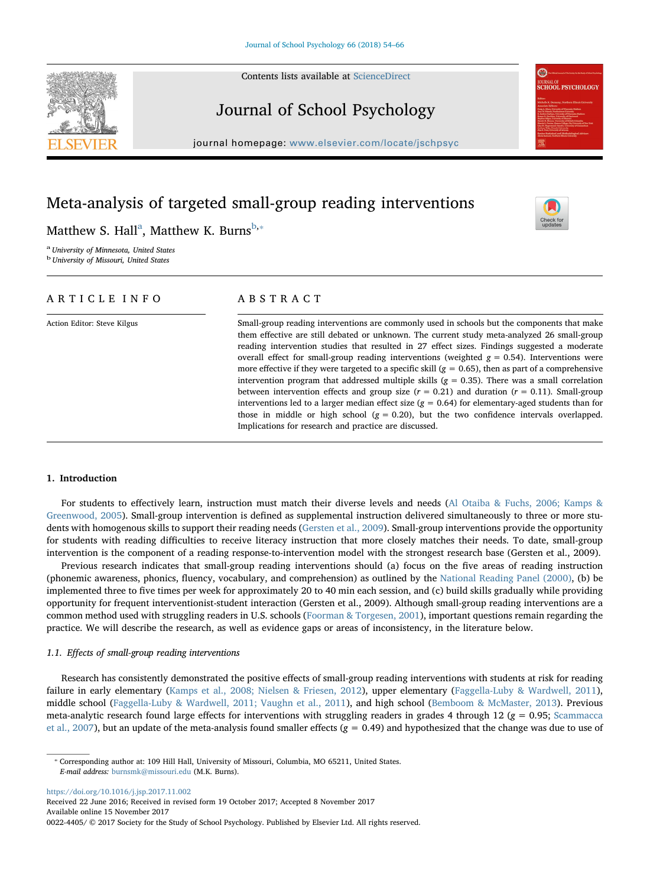Contents lists available at [ScienceDirect](http://www.sciencedirect.com/science/journal/00224405)





# Journal of School Psychology

journal homepage: [www.elsevier.com/locate/jschpsyc](https://www.elsevier.com/locate/jschpsyc)

# Meta-analysis of targeted small-group reading interventions



# Matthew S. Hall<sup>a</sup>, Matthew K. Burns $^{\text{b},*}$

<span id="page-0-1"></span><span id="page-0-0"></span><sup>a</sup> University of Minnesota, United States <sup>b</sup> University of Missouri, United States

## ARTICLE INFO Action Editor: Steve Kilgus ABSTRACT Small-group reading interventions are commonly used in schools but the components that make them effective are still debated or unknown. The current study meta-analyzed 26 small-group reading intervention studies that resulted in 27 effect sizes. Findings suggested a moderate overall effect for small-group reading interventions (weighted  $g = 0.54$ ). Interventions were more effective if they were targeted to a specific skill ( $g = 0.65$ ), then as part of a comprehensive intervention program that addressed multiple skills ( $g = 0.35$ ). There was a small correlation

between intervention effects and group size  $(r = 0.21)$  and duration  $(r = 0.11)$ . Small-group interventions led to a larger median effect size  $(g = 0.64)$  for elementary-aged students than for those in middle or high school  $(g = 0.20)$ , but the two confidence intervals overlapped.

## 1. Introduction

For students to effectively learn, instruction must match their diverse levels and needs ([Al Otaiba & Fuchs, 2006; Kamps &](#page-11-0) [Greenwood, 2005](#page-11-0)). Small-group intervention is defined as supplemental instruction delivered simultaneously to three or more students with homogenous skills to support their reading needs [\(Gersten et al., 2009](#page-11-1)). Small-group interventions provide the opportunity for students with reading difficulties to receive literacy instruction that more closely matches their needs. To date, small-group intervention is the component of a reading response-to-intervention model with the strongest research base (Gersten et al., 2009).

Implications for research and practice are discussed.

Previous research indicates that small-group reading interventions should (a) focus on the five areas of reading instruction (phonemic awareness, phonics, fluency, vocabulary, and comprehension) as outlined by the [National Reading Panel \(2000\),](#page-12-0) (b) be implemented three to five times per week for approximately 20 to 40 min each session, and (c) build skills gradually while providing opportunity for frequent interventionist-student interaction (Gersten et al., 2009). Although small-group reading interventions are a common method used with struggling readers in U.S. schools ([Foorman & Torgesen, 2001](#page-11-2)), important questions remain regarding the practice. We will describe the research, as well as evidence gaps or areas of inconsistency, in the literature below.

## 1.1. Effects of small-group reading interventions

Research has consistently demonstrated the positive effects of small-group reading interventions with students at risk for reading failure in early elementary [\(Kamps et al., 2008; Nielsen & Friesen, 2012](#page-11-3)), upper elementary [\(Faggella-Luby & Wardwell, 2011\)](#page-11-4), middle school ([Faggella-Luby & Wardwell, 2011; Vaughn et al., 2011](#page-11-4)), and high school ([Bemboom & McMaster, 2013\)](#page-11-5). Previous meta-analytic research found large effects for interventions with struggling readers in grades 4 through 12 ( $g = 0.95$ ; [Scammacca](#page-12-1) [et al., 2007\)](#page-12-1), but an update of the meta-analysis found smaller effects  $(g = 0.49)$  and hypothesized that the change was due to use of

Received 22 June 2016; Received in revised form 19 October 2017; Accepted 8 November 2017 Available online 15 November 2017 0022-4405/ © 2017 Society for the Study of School Psychology. Published by Elsevier Ltd. All rights reserved.

<span id="page-0-2"></span><sup>⁎</sup> Corresponding author at: 109 Hill Hall, University of Missouri, Columbia, MO 65211, United States. E-mail address: [burnsmk@missouri.edu](mailto:burnsmk@missouri.edu) (M.K. Burns).

<https://doi.org/10.1016/j.jsp.2017.11.002>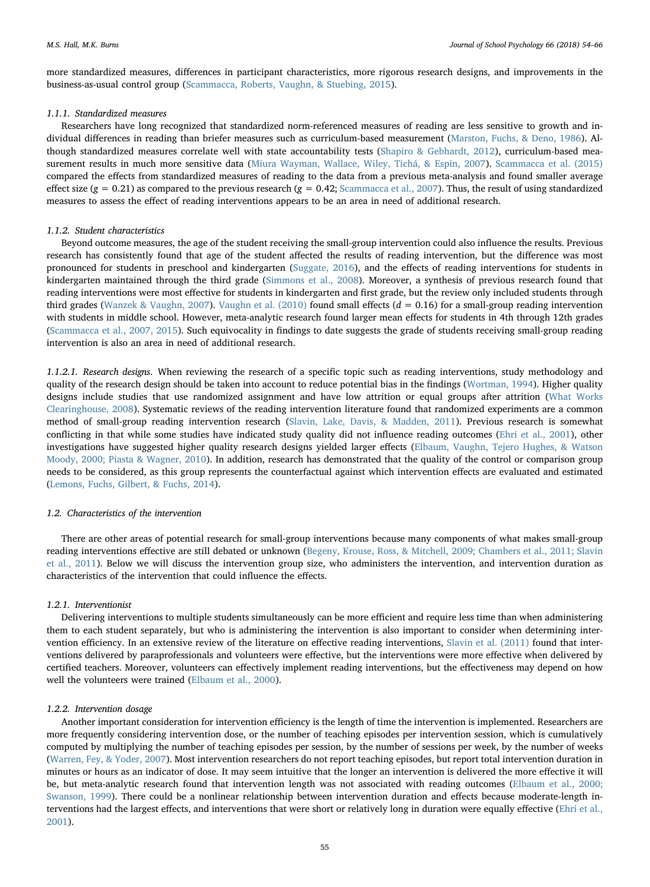more standardized measures, differences in participant characteristics, more rigorous research designs, and improvements in the business-as-usual control group ([Scammacca, Roberts, Vaughn, & Stuebing, 2015\)](#page-12-2).

## 1.1.1. Standardized measures

Researchers have long recognized that standardized norm-referenced measures of reading are less sensitive to growth and individual differences in reading than briefer measures such as curriculum-based measurement ([Marston, Fuchs, & Deno, 1986\)](#page-12-3). Al-though standardized measures correlate well with state accountability tests ([Shapiro & Gebhardt, 2012\)](#page-12-4), curriculum-based measurement results in much more sensitive data ([Miura Wayman, Wallace, Wiley, Tichá, & Espin, 2007\)](#page-12-5). [Scammacca et al. \(2015\)](#page-12-2) compared the effects from standardized measures of reading to the data from a previous meta-analysis and found smaller average effect size ( $g = 0.21$ ) as compared to the previous research ( $g = 0.42$ ; [Scammacca et al., 2007](#page-12-1)). Thus, the result of using standardized measures to assess the effect of reading interventions appears to be an area in need of additional research.

#### 1.1.2. Student characteristics

Beyond outcome measures, the age of the student receiving the small-group intervention could also influence the results. Previous research has consistently found that age of the student affected the results of reading intervention, but the difference was most pronounced for students in preschool and kindergarten ([Suggate, 2016\)](#page-12-6), and the effects of reading interventions for students in kindergarten maintained through the third grade [\(Simmons et al., 2008](#page-12-7)). Moreover, a synthesis of previous research found that reading interventions were most effective for students in kindergarten and first grade, but the review only included students through third grades [\(Wanzek & Vaughn, 2007](#page-12-8)). [Vaughn et al. \(2010\)](#page-12-9) found small effects ( $d = 0.16$ ) for a small-group reading intervention with students in middle school. However, meta-analytic research found larger mean effects for students in 4th through 12th grades ([Scammacca et al., 2007, 2015\)](#page-12-1). Such equivocality in findings to date suggests the grade of students receiving small-group reading intervention is also an area in need of additional research.

1.1.2.1. Research designs. When reviewing the research of a specific topic such as reading interventions, study methodology and quality of the research design should be taken into account to reduce potential bias in the findings [\(Wortman, 1994\)](#page-12-10). Higher quality designs include studies that use randomized assignment and have low attrition or equal groups after attrition ([What Works](#page-12-11) [Clearinghouse, 2008\)](#page-12-11). Systematic reviews of the reading intervention literature found that randomized experiments are a common method of small-group reading intervention research [\(Slavin, Lake, Davis, & Madden, 2011\)](#page-12-12). Previous research is somewhat conflicting in that while some studies have indicated study quality did not influence reading outcomes ([Ehri et al., 2001](#page-11-6)), other investigations have suggested higher quality research designs yielded larger effects [\(Elbaum, Vaughn, Tejero Hughes, & Watson](#page-11-7) Moody, [2000; Piasta & Wagner, 2010\)](#page-11-7). In addition, research has demonstrated that the quality of the control or comparison group needs to be considered, as this group represents the counterfactual against which intervention effects are evaluated and estimated ([Lemons, Fuchs, Gilbert, & Fuchs, 2014\)](#page-12-13).

## 1.2. Characteristics of the intervention

There are other areas of potential research for small-group interventions because many components of what makes small-group reading interventions effective are still debated or unknown [\(Begeny, Krouse, Ross, & Mitchell, 2009; Chambers et al., 2011; Slavin](#page-11-8) [et al., 2011\)](#page-11-8). Below we will discuss the intervention group size, who administers the intervention, and intervention duration as characteristics of the intervention that could influence the effects.

#### 1.2.1. Interventionist

Delivering interventions to multiple students simultaneously can be more efficient and require less time than when administering them to each student separately, but who is administering the intervention is also important to consider when determining intervention efficiency. In an extensive review of the literature on effective reading interventions, [Slavin et al. \(2011\)](#page-12-12) found that interventions delivered by paraprofessionals and volunteers were effective, but the interventions were more effective when delivered by certified teachers. Moreover, volunteers can effectively implement reading interventions, but the effectiveness may depend on how well the volunteers were trained [\(Elbaum et al., 2000\)](#page-11-7).

## 1.2.2. Intervention dosage

Another important consideration for intervention efficiency is the length of time the intervention is implemented. Researchers are more frequently considering intervention dose, or the number of teaching episodes per intervention session, which is cumulatively computed by multiplying the number of teaching episodes per session, by the number of sessions per week, by the number of weeks ([Warren, Fey, & Yoder, 2007](#page-12-14)). Most intervention researchers do not report teaching episodes, but report total intervention duration in minutes or hours as an indicator of dose. It may seem intuitive that the longer an intervention is delivered the more effective it will be, but meta-analytic research found that intervention length was not associated with reading outcomes ([Elbaum et al., 2000;](#page-11-7) [Swanson, 1999](#page-11-7)). There could be a nonlinear relationship between intervention duration and effects because moderate-length interventions had the largest effects, and interventions that were short or relatively long in duration were equally effective ([Ehri et al.,](#page-11-6) [2001\)](#page-11-6).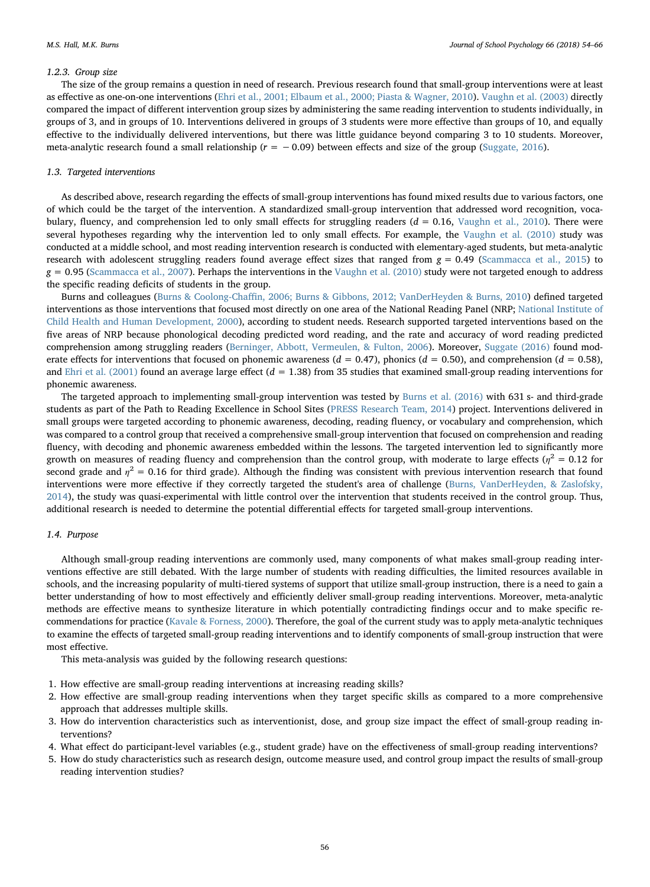## 1.2.3. Group size

The size of the group remains a question in need of research. Previous research found that small-group interventions were at least as effective as one-on-one interventions ([Ehri et al., 2001; Elbaum et al., 2000; Piasta & Wagner, 2010](#page-11-6)). [Vaughn et al. \(2003\)](#page-12-15) directly compared the impact of different intervention group sizes by administering the same reading intervention to students individually, in groups of 3, and in groups of 10. Interventions delivered in groups of 3 students were more effective than groups of 10, and equally effective to the individually delivered interventions, but there was little guidance beyond comparing 3 to 10 students. Moreover, meta-analytic research found a small relationship ( $r = -0.09$ ) between effects and size of the group ([Suggate, 2016](#page-12-6)).

## 1.3. Targeted interventions

As described above, research regarding the effects of small-group interventions has found mixed results due to various factors, one of which could be the target of the intervention. A standardized small-group intervention that addressed word recognition, vocabulary, fluency, and comprehension led to only small effects for struggling readers  $(d = 0.16, V_{\text{aug}})$  et al., 2010). There were several hypotheses regarding why the intervention led to only small effects. For example, the [Vaughn et al. \(2010\)](#page-12-9) study was conducted at a middle school, and most reading intervention research is conducted with elementary-aged students, but meta-analytic research with adolescent struggling readers found average effect sizes that ranged from  $g = 0.49$  ([Scammacca et al., 2015](#page-12-2)) to  $g = 0.95$  [\(Scammacca et al., 2007](#page-12-1)). Perhaps the interventions in the [Vaughn et al. \(2010\)](#page-12-9) study were not targeted enough to address the specific reading deficits of students in the group.

Burns and colleagues (Burns & Coolong-Chaffi[n, 2006; Burns & Gibbons, 2012; VanDerHeyden & Burns, 2010\)](#page-11-9) defined targeted interventions as those interventions that focused most directly on one area of the National Reading Panel (NRP; [National Institute of](#page-12-0) [Child Health and Human Development, 2000\)](#page-12-0), according to student needs. Research supported targeted interventions based on the five areas of NRP because phonological decoding predicted word reading, and the rate and accuracy of word reading predicted comprehension among struggling readers [\(Berninger, Abbott, Vermeulen, & Fulton, 2006\)](#page-11-10). Moreover, [Suggate \(2016\)](#page-12-6) found moderate effects for interventions that focused on phonemic awareness ( $d = 0.47$ ), phonics ( $d = 0.50$ ), and comprehension ( $d = 0.58$ ), and [Ehri et al. \(2001\)](#page-11-6) found an average large effect ( $d = 1.38$ ) from 35 studies that examined small-group reading interventions for phonemic awareness.

The targeted approach to implementing small-group intervention was tested by [Burns et al. \(2016\)](#page-11-11) with 631 s- and third-grade students as part of the Path to Reading Excellence in School Sites [\(PRESS Research Team, 2014\)](#page-12-16) project. Interventions delivered in small groups were targeted according to phonemic awareness, decoding, reading fluency, or vocabulary and comprehension, which was compared to a control group that received a comprehensive small-group intervention that focused on comprehension and reading fluency, with decoding and phonemic awareness embedded within the lessons. The targeted intervention led to significantly more growth on measures of reading fluency and comprehension than the control group, with moderate to large effects ( $\eta^2 = 0.12$  for second grade and  $\eta^2$  = 0.16 for third grade). Although the finding was consistent with previous intervention research that found interventions were more effective if they correctly targeted the student's area of challenge [\(Burns, VanDerHeyden, & Zaslofsky,](#page-11-12) [2014\)](#page-11-12), the study was quasi-experimental with little control over the intervention that students received in the control group. Thus, additional research is needed to determine the potential differential effects for targeted small-group interventions.

## 1.4. Purpose

Although small-group reading interventions are commonly used, many components of what makes small-group reading interventions effective are still debated. With the large number of students with reading difficulties, the limited resources available in schools, and the increasing popularity of multi-tiered systems of support that utilize small-group instruction, there is a need to gain a better understanding of how to most effectively and efficiently deliver small-group reading interventions. Moreover, meta-analytic methods are effective means to synthesize literature in which potentially contradicting findings occur and to make specific recommendations for practice ([Kavale & Forness, 2000](#page-12-17)). Therefore, the goal of the current study was to apply meta-analytic techniques to examine the effects of targeted small-group reading interventions and to identify components of small-group instruction that were most effective.

This meta-analysis was guided by the following research questions:

- 1. How effective are small-group reading interventions at increasing reading skills?
- 2. How effective are small-group reading interventions when they target specific skills as compared to a more comprehensive approach that addresses multiple skills.
- 3. How do intervention characteristics such as interventionist, dose, and group size impact the effect of small-group reading interventions?
- 4. What effect do participant-level variables (e.g., student grade) have on the effectiveness of small-group reading interventions?
- 5. How do study characteristics such as research design, outcome measure used, and control group impact the results of small-group reading intervention studies?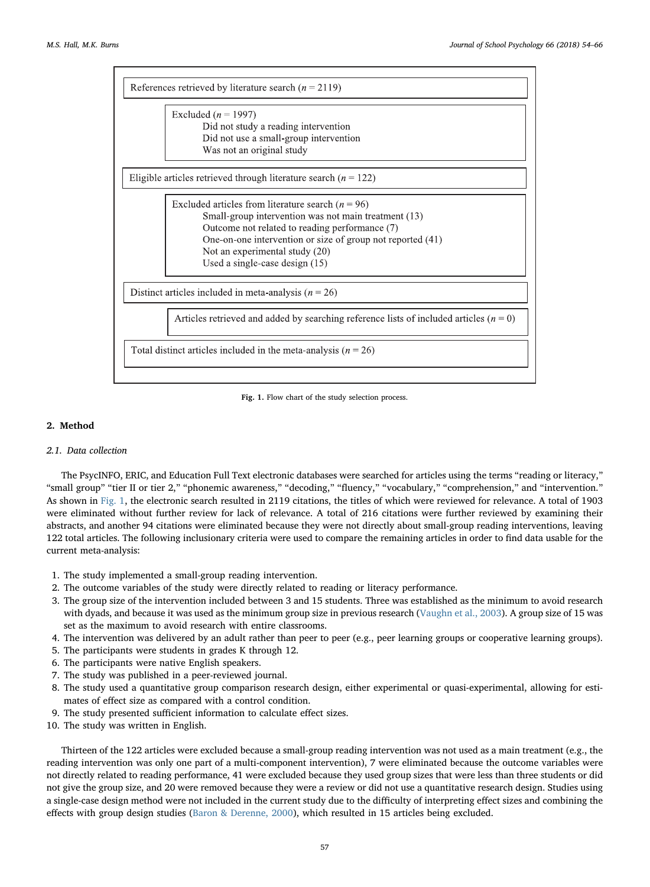<span id="page-3-0"></span>

| References retrieved by literature search ( $n = 2119$ )                                                                                                                                                                                                                                          |  |  |  |  |  |  |  |  |
|---------------------------------------------------------------------------------------------------------------------------------------------------------------------------------------------------------------------------------------------------------------------------------------------------|--|--|--|--|--|--|--|--|
| Excluded ( $n = 1997$ )<br>Did not study a reading intervention<br>Did not use a small-group intervention<br>Was not an original study                                                                                                                                                            |  |  |  |  |  |  |  |  |
| Eligible articles retrieved through literature search ( $n = 122$ )                                                                                                                                                                                                                               |  |  |  |  |  |  |  |  |
| Excluded articles from literature search ( $n = 96$ )<br>Small-group intervention was not main treatment (13)<br>Outcome not related to reading performance (7)<br>One-on-one intervention or size of group not reported (41)<br>Not an experimental study (20)<br>Used a single-case design (15) |  |  |  |  |  |  |  |  |
| Distinct articles included in meta-analysis ( $n = 26$ )                                                                                                                                                                                                                                          |  |  |  |  |  |  |  |  |
| Articles retrieved and added by searching reference lists of included articles ( $n = 0$ )                                                                                                                                                                                                        |  |  |  |  |  |  |  |  |
| Total distinct articles included in the meta-analysis ( $n = 26$ )                                                                                                                                                                                                                                |  |  |  |  |  |  |  |  |

Fig. 1. Flow chart of the study selection process.

## 2. Method

# 2.1. Data collection

The PsycINFO, ERIC, and Education Full Text electronic databases were searched for articles using the terms "reading or literacy," "small group" "tier II or tier 2," "phonemic awareness," "decoding," "fluency," "vocabulary," "comprehension," and "intervention." As shown in [Fig. 1,](#page-3-0) the electronic search resulted in 2119 citations, the titles of which were reviewed for relevance. A total of 1903 were eliminated without further review for lack of relevance. A total of 216 citations were further reviewed by examining their abstracts, and another 94 citations were eliminated because they were not directly about small-group reading interventions, leaving 122 total articles. The following inclusionary criteria were used to compare the remaining articles in order to find data usable for the current meta-analysis:

- 1. The study implemented a small-group reading intervention.
- 2. The outcome variables of the study were directly related to reading or literacy performance.
- 3. The group size of the intervention included between 3 and 15 students. Three was established as the minimum to avoid research with dyads, and because it was used as the minimum group size in previous research ([Vaughn et al., 2003](#page-12-15)). A group size of 15 was set as the maximum to avoid research with entire classrooms.
- 4. The intervention was delivered by an adult rather than peer to peer (e.g., peer learning groups or cooperative learning groups).
- 5. The participants were students in grades K through 12.
- 6. The participants were native English speakers.
- 7. The study was published in a peer-reviewed journal.
- 8. The study used a quantitative group comparison research design, either experimental or quasi-experimental, allowing for estimates of effect size as compared with a control condition.
- 9. The study presented sufficient information to calculate effect sizes.
- 10. The study was written in English.

Thirteen of the 122 articles were excluded because a small-group reading intervention was not used as a main treatment (e.g., the reading intervention was only one part of a multi-component intervention), 7 were eliminated because the outcome variables were not directly related to reading performance, 41 were excluded because they used group sizes that were less than three students or did not give the group size, and 20 were removed because they were a review or did not use a quantitative research design. Studies using a single-case design method were not included in the current study due to the difficulty of interpreting effect sizes and combining the effects with group design studies ([Baron & Derenne, 2000\)](#page-11-13), which resulted in 15 articles being excluded.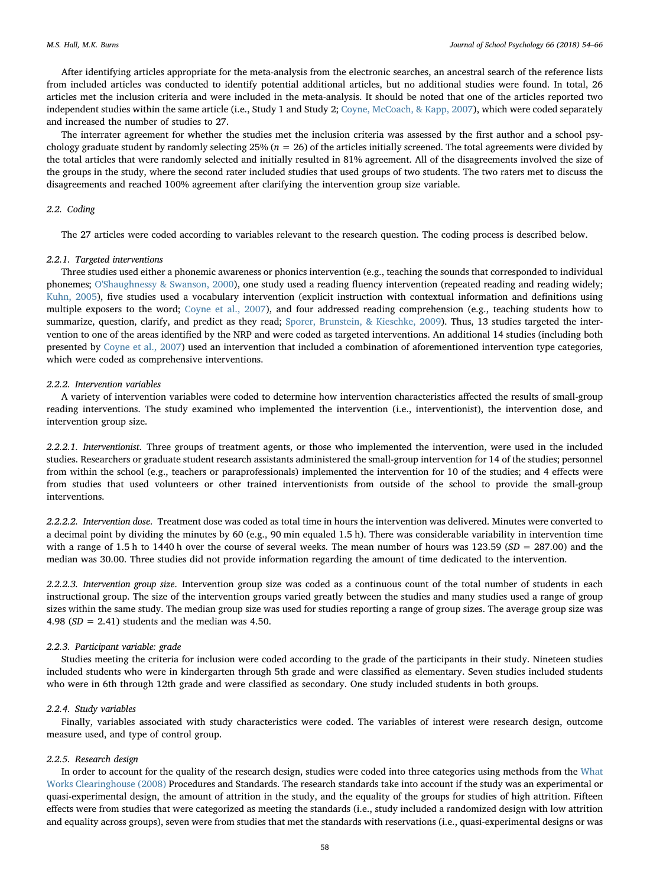After identifying articles appropriate for the meta-analysis from the electronic searches, an ancestral search of the reference lists from included articles was conducted to identify potential additional articles, but no additional studies were found. In total, 26 articles met the inclusion criteria and were included in the meta-analysis. It should be noted that one of the articles reported two independent studies within the same article (i.e., Study 1 and Study 2; [Coyne, McCoach, & Kapp, 2007](#page-11-14)), which were coded separately and increased the number of studies to 27.

The interrater agreement for whether the studies met the inclusion criteria was assessed by the first author and a school psychology graduate student by randomly selecting 25% ( $n = 26$ ) of the articles initially screened. The total agreements were divided by the total articles that were randomly selected and initially resulted in 81% agreement. All of the disagreements involved the size of the groups in the study, where the second rater included studies that used groups of two students. The two raters met to discuss the disagreements and reached 100% agreement after clarifying the intervention group size variable.

## 2.2. Coding

The 27 articles were coded according to variables relevant to the research question. The coding process is described below.

#### 2.2.1. Targeted interventions

Three studies used either a phonemic awareness or phonics intervention (e.g., teaching the sounds that corresponded to individual phonemes; [O'Shaughnessy & Swanson, 2000\)](#page-12-18), one study used a reading fluency intervention (repeated reading and reading widely; [Kuhn, 2005](#page-12-19)), five studies used a vocabulary intervention (explicit instruction with contextual information and definitions using multiple exposers to the word; [Coyne et al., 2007\)](#page-11-14), and four addressed reading comprehension (e.g., teaching students how to summarize, question, clarify, and predict as they read; [Sporer, Brunstein, & Kieschke, 2009\)](#page-12-20). Thus, 13 studies targeted the intervention to one of the areas identified by the NRP and were coded as targeted interventions. An additional 14 studies (including both presented by [Coyne et al., 2007\)](#page-11-14) used an intervention that included a combination of aforementioned intervention type categories, which were coded as comprehensive interventions.

## 2.2.2. Intervention variables

A variety of intervention variables were coded to determine how intervention characteristics affected the results of small-group reading interventions. The study examined who implemented the intervention (i.e., interventionist), the intervention dose, and intervention group size.

2.2.2.1. Interventionist. Three groups of treatment agents, or those who implemented the intervention, were used in the included studies. Researchers or graduate student research assistants administered the small-group intervention for 14 of the studies; personnel from within the school (e.g., teachers or paraprofessionals) implemented the intervention for 10 of the studies; and 4 effects were from studies that used volunteers or other trained interventionists from outside of the school to provide the small-group interventions.

2.2.2.2. Intervention dose. Treatment dose was coded as total time in hours the intervention was delivered. Minutes were converted to a decimal point by dividing the minutes by 60 (e.g., 90 min equaled 1.5 h). There was considerable variability in intervention time with a range of 1.5 h to 1440 h over the course of several weeks. The mean number of hours was  $123.59$  ( $SD = 287.00$ ) and the median was 30.00. Three studies did not provide information regarding the amount of time dedicated to the intervention.

2.2.2.3. Intervention group size. Intervention group size was coded as a continuous count of the total number of students in each instructional group. The size of the intervention groups varied greatly between the studies and many studies used a range of group sizes within the same study. The median group size was used for studies reporting a range of group sizes. The average group size was 4.98 ( $SD = 2.41$ ) students and the median was 4.50.

#### 2.2.3. Participant variable: grade

Studies meeting the criteria for inclusion were coded according to the grade of the participants in their study. Nineteen studies included students who were in kindergarten through 5th grade and were classified as elementary. Seven studies included students who were in 6th through 12th grade and were classified as secondary. One study included students in both groups.

## 2.2.4. Study variables

Finally, variables associated with study characteristics were coded. The variables of interest were research design, outcome measure used, and type of control group.

## 2.2.5. Research design

In order to account for the quality of the research design, studies were coded into three categories using methods from the [What](#page-12-11) [Works Clearinghouse \(2008\)](#page-12-11) Procedures and Standards. The research standards take into account if the study was an experimental or quasi-experimental design, the amount of attrition in the study, and the equality of the groups for studies of high attrition. Fifteen effects were from studies that were categorized as meeting the standards (i.e., study included a randomized design with low attrition and equality across groups), seven were from studies that met the standards with reservations (i.e., quasi-experimental designs or was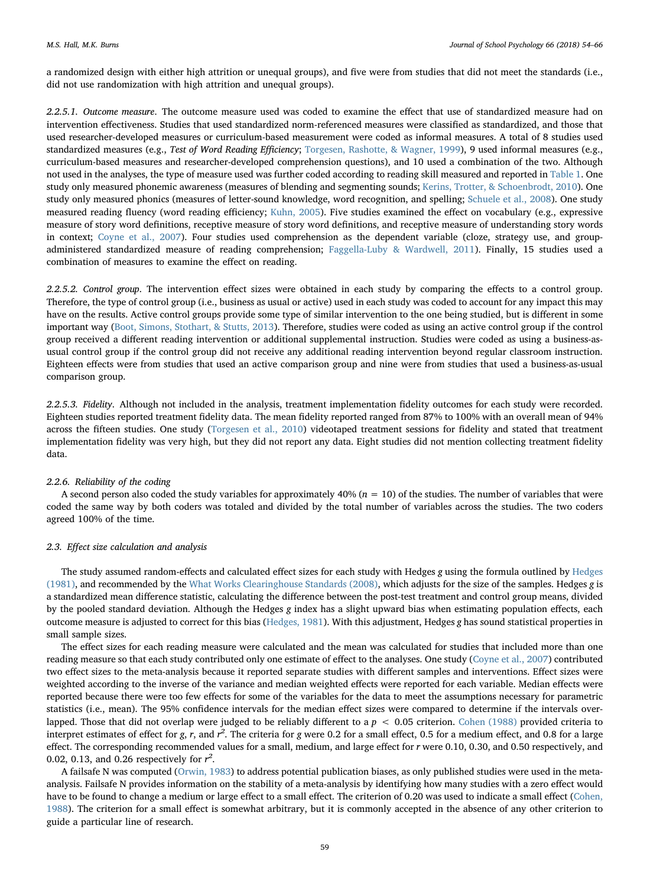a randomized design with either high attrition or unequal groups), and five were from studies that did not meet the standards (i.e., did not use randomization with high attrition and unequal groups).

2.2.5.1. Outcome measure. The outcome measure used was coded to examine the effect that use of standardized measure had on intervention effectiveness. Studies that used standardized norm-referenced measures were classified as standardized, and those that used researcher-developed measures or curriculum-based measurement were coded as informal measures. A total of 8 studies used standardized measures (e.g., Test of Word Reading Efficiency; [Torgesen, Rashotte, & Wagner, 1999\)](#page-12-21), 9 used informal measures (e.g., curriculum-based measures and researcher-developed comprehension questions), and 10 used a combination of the two. Although not used in the analyses, the type of measure used was further coded according to reading skill measured and reported in [Table 1.](#page-6-0) One study only measured phonemic awareness (measures of blending and segmenting sounds; [Kerins, Trotter, & Schoenbrodt, 2010\)](#page-12-22). One study only measured phonics (measures of letter-sound knowledge, word recognition, and spelling; [Schuele et al., 2008\)](#page-12-23). One study measured reading fluency (word reading efficiency; [Kuhn, 2005](#page-12-19)). Five studies examined the effect on vocabulary (e.g., expressive measure of story word definitions, receptive measure of story word definitions, and receptive measure of understanding story words in context; [Coyne et al., 2007\)](#page-11-14). Four studies used comprehension as the dependent variable (cloze, strategy use, and groupadministered standardized measure of reading comprehension; [Faggella-Luby & Wardwell, 2011\)](#page-11-4). Finally, 15 studies used a combination of measures to examine the effect on reading.

2.2.5.2. Control group. The intervention effect sizes were obtained in each study by comparing the effects to a control group. Therefore, the type of control group (i.e., business as usual or active) used in each study was coded to account for any impact this may have on the results. Active control groups provide some type of similar intervention to the one being studied, but is different in some important way [\(Boot, Simons, Stothart, & Stutts, 2013](#page-11-15)). Therefore, studies were coded as using an active control group if the control group received a different reading intervention or additional supplemental instruction. Studies were coded as using a business-asusual control group if the control group did not receive any additional reading intervention beyond regular classroom instruction. Eighteen effects were from studies that used an active comparison group and nine were from studies that used a business-as-usual comparison group.

2.2.5.3. Fidelity. Although not included in the analysis, treatment implementation fidelity outcomes for each study were recorded. Eighteen studies reported treatment fidelity data. The mean fidelity reported ranged from 87% to 100% with an overall mean of 94% across the fifteen studies. One study ([Torgesen et al., 2010\)](#page-12-24) videotaped treatment sessions for fidelity and stated that treatment implementation fidelity was very high, but they did not report any data. Eight studies did not mention collecting treatment fidelity data.

# 2.2.6. Reliability of the coding

A second person also coded the study variables for approximately  $40\%$  ( $n = 10$ ) of the studies. The number of variables that were coded the same way by both coders was totaled and divided by the total number of variables across the studies. The two coders agreed 100% of the time.

## 2.3. Effect size calculation and analysis

The study assumed random-effects and calculated effect sizes for each study with Hedges g using the formula outlined by [Hedges](#page-11-16) [\(1981\),](#page-11-16) and recommended by the [What Works Clearinghouse Standards \(2008\),](#page-12-11) which adjusts for the size of the samples. Hedges g is a standardized mean difference statistic, calculating the difference between the post-test treatment and control group means, divided by the pooled standard deviation. Although the Hedges g index has a slight upward bias when estimating population effects, each outcome measure is adjusted to correct for this bias [\(Hedges, 1981](#page-11-16)). With this adjustment, Hedges g has sound statistical properties in small sample sizes.

The effect sizes for each reading measure were calculated and the mean was calculated for studies that included more than one reading measure so that each study contributed only one estimate of effect to the analyses. One study [\(Coyne et al., 2007](#page-11-14)) contributed two effect sizes to the meta-analysis because it reported separate studies with different samples and interventions. Effect sizes were weighted according to the inverse of the variance and median weighted effects were reported for each variable. Median effects were reported because there were too few effects for some of the variables for the data to meet the assumptions necessary for parametric statistics (i.e., mean). The 95% confidence intervals for the median effect sizes were compared to determine if the intervals overlapped. Those that did not overlap were judged to be reliably different to a  $p < 0.05$  criterion. [Cohen \(1988\)](#page-11-17) provided criteria to interpret estimates of effect for g, r, and  $r^2$ . The criteria for g were 0.2 for a small effect, 0.5 for a medium effect, and 0.8 for a large effect. The corresponding recommended values for a small, medium, and large effect for r were 0.10, 0.30, and 0.50 respectively, and 0.02, 0.13, and 0.26 respectively for  $r^2$ .

A failsafe N was computed [\(Orwin, 1983](#page-12-25)) to address potential publication biases, as only published studies were used in the metaanalysis. Failsafe N provides information on the stability of a meta-analysis by identifying how many studies with a zero effect would have to be found to change a medium or large effect to a small effect. The criterion of 0.20 was used to indicate a small effect ([Cohen,](#page-11-17) [1988\)](#page-11-17). The criterion for a small effect is somewhat arbitrary, but it is commonly accepted in the absence of any other criterion to guide a particular line of research.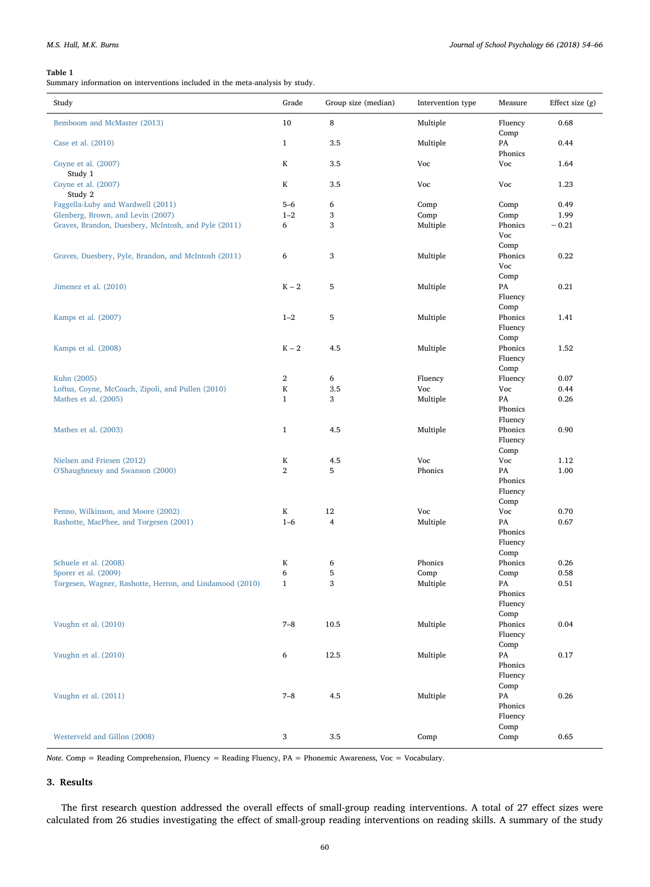## <span id="page-6-0"></span>Table 1

Summary information on interventions included in the meta-analysis by study.

| Study                                                    | Grade        | Group size (median) | Intervention type | Measure                          | Effect size $(g)$ |
|----------------------------------------------------------|--------------|---------------------|-------------------|----------------------------------|-------------------|
| Bemboom and McMaster (2013)                              | 10           | $\bf8$              | Multiple          | Fluency<br>Comp                  | 0.68              |
| Case et al. (2010)                                       | $\mathbf{1}$ | 3.5                 | Multiple          | PA<br>Phonics                    | 0.44              |
| Coyne et al. (2007)<br>Study 1                           | K            | 3.5                 | Voc               | Voc                              | 1.64              |
| Coyne et al. (2007)<br>Study 2                           | K            | 3.5                 | Voc               | Voc                              | 1.23              |
| Faggella-Luby and Wardwell (2011)                        | $5 - 6$      | 6                   | Comp              | Comp                             | 0.49              |
| Glenberg, Brown, and Levin (2007)                        | $1 - 2$      | 3                   | Comp              | Comp                             | 1.99              |
| Graves, Brandon, Duesbery, McIntosh, and Pyle (2011)     | 6            | 3                   | Multiple          | Phonics<br>Voc                   | $-0.21$           |
| Graves, Duesbery, Pyle, Brandon, and McIntosh (2011)     | 6            | 3                   | Multiple          | Comp<br>Phonics<br>Voc           | 0.22              |
|                                                          |              |                     |                   | Comp                             |                   |
| Jimenez et al. (2010)                                    | $K - 2$      | 5                   | Multiple          | PA<br>Fluency<br>Comp            | 0.21              |
| Kamps et al. (2007)                                      | $1 - 2$      | 5                   | Multiple          | Phonics                          | 1.41              |
|                                                          |              |                     |                   | Fluency<br>Comp                  |                   |
| Kamps et al. (2008)                                      | $K - 2$      | 4.5                 | Multiple          | Phonics<br>Fluency<br>Comp       | 1.52              |
|                                                          | $\mathbf{2}$ |                     |                   |                                  |                   |
| Kuhn (2005)                                              |              | 6                   | Fluency           | Fluency                          | 0.07              |
| Loftus, Coyne, McCoach, Zipoli, and Pullen (2010)        | K            | 3.5                 | Voc               | Voc                              | 0.44              |
| Mathes et al. (2005)                                     | $\mathbf{1}$ | 3                   | Multiple          | PA<br>Phonics<br>Fluency         | 0.26              |
| Mathes et al. (2003)                                     | $\mathbf{1}$ | 4.5                 | Multiple          | Phonics<br>Fluency               | 0.90              |
|                                                          |              |                     |                   | Comp                             |                   |
| Nielsen and Friesen (2012)                               | К            | 4.5                 | Voc               | Voc                              | 1.12              |
| O'Shaughnessy and Swanson (2000)                         | $\mathbf{2}$ | 5                   | Phonics           | PA<br>Phonics<br>Fluency<br>Comp | 1.00              |
| Penno, Wilkinson, and Moore (2002)                       | K            | 12                  | Voc               | Voc                              | 0.70              |
| Rashotte, MacPhee, and Torgesen (2001)                   | $1 - 6$      | $\overline{4}$      | Multiple          | PA<br>Phonics<br>Fluency<br>Comp | 0.67              |
| Schuele et al. (2008)                                    | K            | 6                   | Phonics           | Phonics                          | 0.26              |
| Sporer et al. (2009)                                     | 6            | 5                   | Comp              | Comp                             | 0.58              |
| Torgesen, Wagner, Rashotte, Herron, and Lindamood (2010) | $\mathbf{1}$ | 3                   | Multiple          | PA<br>Phonics<br>Fluency<br>Comp | 0.51              |
| Vaughn et al. (2010)                                     | $7 - 8$      | 10.5                | Multiple          | Phonics<br>Fluency<br>Comp       | 0.04              |
| Vaughn et al. (2010)                                     | 6            | 12.5                | Multiple          | PA<br>Phonics<br>Fluency<br>Comp | 0.17              |
| Vaughn et al. (2011)                                     | $7 - 8$      | 4.5                 | Multiple          | PA<br>Phonics<br>Fluency<br>Comp | 0.26              |
| Westerveld and Gillon (2008)                             | 3            | 3.5                 | Comp              | Comp                             | 0.65              |

Note. Comp = Reading Comprehension, Fluency = Reading Fluency, PA = Phonemic Awareness, Voc = Vocabulary.

# 3. Results

The first research question addressed the overall effects of small-group reading interventions. A total of 27 effect sizes were calculated from 26 studies investigating the effect of small-group reading interventions on reading skills. A summary of the study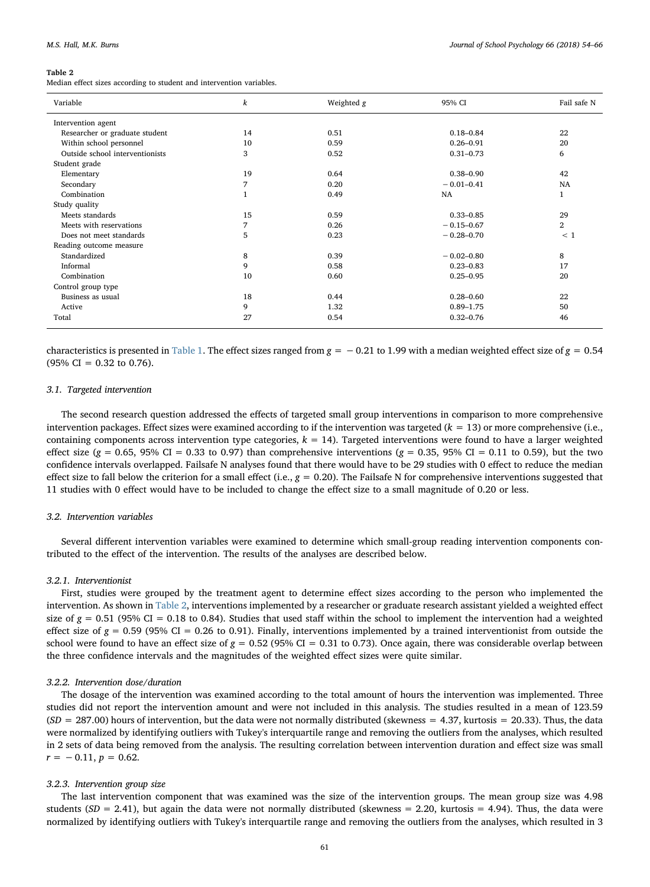#### <span id="page-7-0"></span>Table 2

Median effect sizes according to student and intervention variables.

| Variable                        | k            | Weighted g            | 95% CI         | Fail safe N    |  |
|---------------------------------|--------------|-----------------------|----------------|----------------|--|
| Intervention agent              |              |                       |                |                |  |
| Researcher or graduate student  | 14           | 0.51                  | $0.18 - 0.84$  | 22             |  |
| Within school personnel         | 10           | 0.59                  | $0.26 - 0.91$  | 20             |  |
| Outside school interventionists | 3            | 0.52<br>$0.31 - 0.73$ |                | 6              |  |
| Student grade                   |              |                       |                |                |  |
| Elementary                      | 19           | 0.64                  | $0.38 - 0.90$  | 42             |  |
| Secondary                       | 7            | 0.20                  | $-0.01 - 0.41$ | NA             |  |
| Combination                     | $\mathbf{1}$ | 0.49                  | <b>NA</b>      | 1              |  |
| Study quality                   |              |                       |                |                |  |
| Meets standards                 | 15           | 0.59                  | $0.33 - 0.85$  | 29             |  |
| Meets with reservations         | 7            | 0.26                  | $-0.15 - 0.67$ | $\overline{2}$ |  |
| Does not meet standards         | 5            | 0.23                  | $-0.28 - 0.70$ | < 1            |  |
| Reading outcome measure         |              |                       |                |                |  |
| Standardized                    | 8            | 0.39                  | $-0.02 - 0.80$ | 8              |  |
| Informal                        | 9            | 0.58                  | $0.23 - 0.83$  | 17             |  |
| Combination                     | 10           | 0.60                  | $0.25 - 0.95$  | 20             |  |
| Control group type              |              |                       |                |                |  |
| Business as usual               | 18           | 0.44                  | $0.28 - 0.60$  | 22             |  |
| Active                          | 9            | 1.32                  | $0.89 - 1.75$  | 50             |  |
| Total                           | 27           | 0.54                  | $0.32 - 0.76$  | 46             |  |

characteristics is presented in [Table 1.](#page-6-0) The effect sizes ranged from  $g = -0.21$  to 1.99 with a median weighted effect size of  $g = 0.54$  $(95\% \text{ CI} = 0.32 \text{ to } 0.76).$ 

#### 3.1. Targeted intervention

The second research question addressed the effects of targeted small group interventions in comparison to more comprehensive intervention packages. Effect sizes were examined according to if the intervention was targeted  $(k = 13)$  or more comprehensive (i.e., containing components across intervention type categories,  $k = 14$ ). Targeted interventions were found to have a larger weighted effect size (g = 0.65, 95% CI = 0.33 to 0.97) than comprehensive interventions (g = 0.35, 95% CI = 0.11 to 0.59), but the two confidence intervals overlapped. Failsafe N analyses found that there would have to be 29 studies with 0 effect to reduce the median effect size to fall below the criterion for a small effect (i.e.,  $g = 0.20$ ). The Failsafe N for comprehensive interventions suggested that 11 studies with 0 effect would have to be included to change the effect size to a small magnitude of 0.20 or less.

#### 3.2. Intervention variables

Several different intervention variables were examined to determine which small-group reading intervention components contributed to the effect of the intervention. The results of the analyses are described below.

## 3.2.1. Interventionist

First, studies were grouped by the treatment agent to determine effect sizes according to the person who implemented the intervention. As shown in [Table 2](#page-7-0), interventions implemented by a researcher or graduate research assistant yielded a weighted effect size of  $g = 0.51$  (95% CI = 0.18 to 0.84). Studies that used staff within the school to implement the intervention had a weighted effect size of  $g = 0.59$  (95% CI = 0.26 to 0.91). Finally, interventions implemented by a trained interventionist from outside the school were found to have an effect size of  $g = 0.52$  (95% CI = 0.31 to 0.73). Once again, there was considerable overlap between the three confidence intervals and the magnitudes of the weighted effect sizes were quite similar.

## 3.2.2. Intervention dose/duration

The dosage of the intervention was examined according to the total amount of hours the intervention was implemented. Three studies did not report the intervention amount and were not included in this analysis. The studies resulted in a mean of 123.59  $(SD = 287.00)$  hours of intervention, but the data were not normally distributed (skewness = 4.37, kurtosis = 20.33). Thus, the data were normalized by identifying outliers with Tukey's interquartile range and removing the outliers from the analyses, which resulted in 2 sets of data being removed from the analysis. The resulting correlation between intervention duration and effect size was small  $r = -0.11, p = 0.62$ .

#### 3.2.3. Intervention group size

The last intervention component that was examined was the size of the intervention groups. The mean group size was 4.98 students (SD = 2.41), but again the data were not normally distributed (skewness = 2.20, kurtosis = 4.94). Thus, the data were normalized by identifying outliers with Tukey's interquartile range and removing the outliers from the analyses, which resulted in 3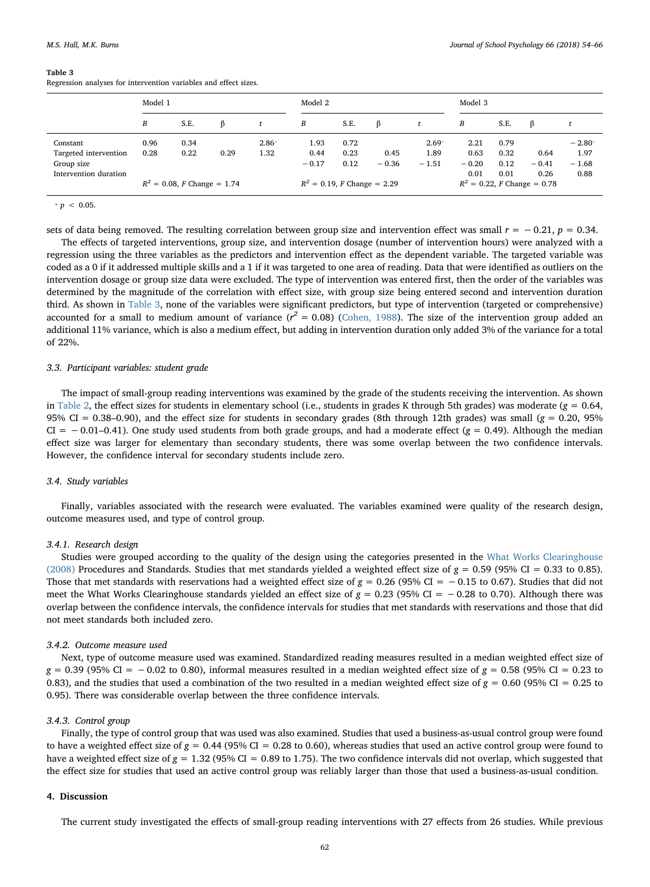#### <span id="page-8-0"></span>Table 3

Regression analyses for intervention variables and effect sizes.

|                       | Model 1                        |      |      | Model 2                               |         |      |                                       | Model 3 |         |      |         |          |
|-----------------------|--------------------------------|------|------|---------------------------------------|---------|------|---------------------------------------|---------|---------|------|---------|----------|
|                       | В                              | S.E. | ß    |                                       | B       | S.E. | ß                                     |         | B       | S.E. | ß       | t        |
| Constant              | 0.96                           | 0.34 |      | $2.86*$                               | 1.93    | 0.72 |                                       | $2.69*$ | 2.21    | 0.79 |         | $-2.80*$ |
| Targeted intervention | 0.28                           | 0.22 | 0.29 | 1.32                                  | 0.44    | 0.23 | 0.45                                  | 1.89    | 0.63    | 0.32 | 0.64    | 1.97     |
| Group size            |                                |      |      |                                       | $-0.17$ | 0.12 | $-0.36$                               | $-1.51$ | $-0.20$ | 0.12 | $-0.41$ | $-1.68$  |
| Intervention duration |                                |      |      |                                       |         |      |                                       |         | 0.01    | 0.01 | 0.26    | 0.88     |
|                       | $R^2 = 0.08$ , F Change = 1.74 |      |      | $R^2 = 0.19$ , <i>F</i> Change = 2.29 |         |      | $R^2 = 0.22$ , <i>F</i> Change = 0.78 |         |         |      |         |          |

<span id="page-8-1"></span> $* p < 0.05.$ 

sets of data being removed. The resulting correlation between group size and intervention effect was small  $r = -0.21$ ,  $p = 0.34$ .

The effects of targeted interventions, group size, and intervention dosage (number of intervention hours) were analyzed with a regression using the three variables as the predictors and intervention effect as the dependent variable. The targeted variable was coded as a 0 if it addressed multiple skills and a 1 if it was targeted to one area of reading. Data that were identified as outliers on the intervention dosage or group size data were excluded. The type of intervention was entered first, then the order of the variables was determined by the magnitude of the correlation with effect size, with group size being entered second and intervention duration third. As shown in [Table 3](#page-8-0), none of the variables were significant predictors, but type of intervention (targeted or comprehensive) accounted for a small to medium amount of variance  $(r^2 = 0.08)$  ([Cohen, 1988\)](#page-11-17). The size of the intervention group added an additional 11% variance, which is also a medium effect, but adding in intervention duration only added 3% of the variance for a total of 22%.

### 3.3. Participant variables: student grade

The impact of small-group reading interventions was examined by the grade of the students receiving the intervention. As shown in [Table 2,](#page-7-0) the effect sizes for students in elementary school (i.e., students in grades K through 5th grades) was moderate ( $g = 0.64$ , 95% CI = 0.38–0.90), and the effect size for students in secondary grades (8th through 12th grades) was small  $(g = 0.20, 95\%)$  $CI = -0.01-0.41$ ). One study used students from both grade groups, and had a moderate effect ( $g = 0.49$ ). Although the median effect size was larger for elementary than secondary students, there was some overlap between the two confidence intervals. However, the confidence interval for secondary students include zero.

#### 3.4. Study variables

Finally, variables associated with the research were evaluated. The variables examined were quality of the research design, outcome measures used, and type of control group.

#### 3.4.1. Research design

Studies were grouped according to the quality of the design using the categories presented in the [What Works Clearinghouse](#page-12-11) [\(2008\)](#page-12-11) Procedures and Standards. Studies that met standards yielded a weighted effect size of  $g = 0.59$  (95% CI = 0.33 to 0.85). Those that met standards with reservations had a weighted effect size of  $g = 0.26$  (95% CI = -0.15 to 0.67). Studies that did not meet the What Works Clearinghouse standards yielded an effect size of  $g = 0.23$  (95% CI = -0.28 to 0.70). Although there was overlap between the confidence intervals, the confidence intervals for studies that met standards with reservations and those that did not meet standards both included zero.

## 3.4.2. Outcome measure used

Next, type of outcome measure used was examined. Standardized reading measures resulted in a median weighted effect size of  $g = 0.39$  (95% CI = -0.02 to 0.80), informal measures resulted in a median weighted effect size of  $g = 0.58$  (95% CI = 0.23 to 0.83), and the studies that used a combination of the two resulted in a median weighted effect size of  $g = 0.60$  (95% CI = 0.25 to 0.95). There was considerable overlap between the three confidence intervals.

## 3.4.3. Control group

Finally, the type of control group that was used was also examined. Studies that used a business-as-usual control group were found to have a weighted effect size of  $g = 0.44$  (95% CI = 0.28 to 0.60), whereas studies that used an active control group were found to have a weighted effect size of  $g = 1.32$  (95% CI = 0.89 to 1.75). The two confidence intervals did not overlap, which suggested that the effect size for studies that used an active control group was reliably larger than those that used a business-as-usual condition.

#### 4. Discussion

The current study investigated the effects of small-group reading interventions with 27 effects from 26 studies. While previous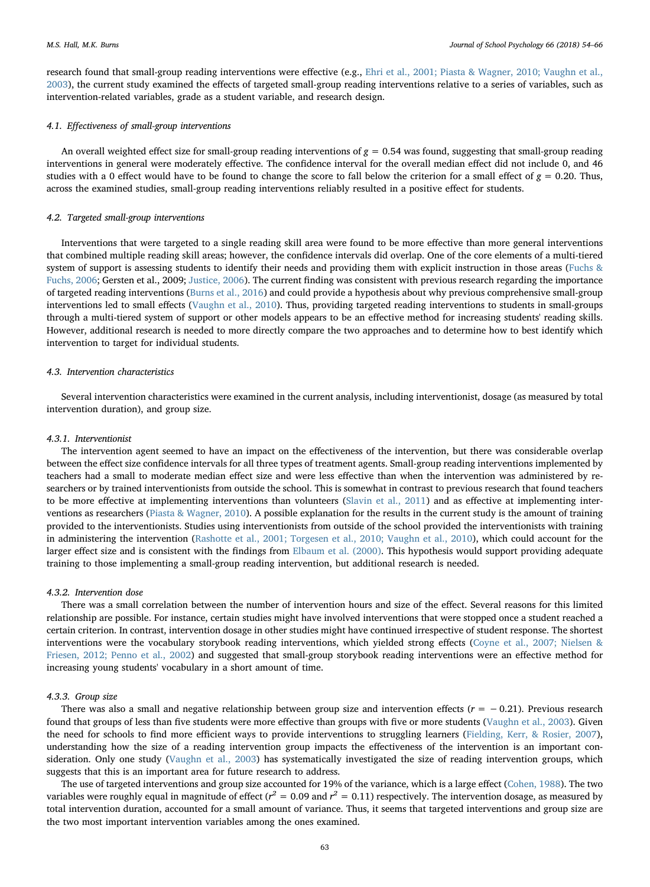research found that small-group reading interventions were effective (e.g., [Ehri et al., 2001; Piasta & Wagner, 2010; Vaughn et al.,](#page-11-6) [2003\)](#page-11-6), the current study examined the effects of targeted small-group reading interventions relative to a series of variables, such as intervention-related variables, grade as a student variable, and research design.

#### 4.1. Effectiveness of small-group interventions

An overall weighted effect size for small-group reading interventions of  $g = 0.54$  was found, suggesting that small-group reading interventions in general were moderately effective. The confidence interval for the overall median effect did not include 0, and 46 studies with a 0 effect would have to be found to change the score to fall below the criterion for a small effect of  $g = 0.20$ . Thus, across the examined studies, small-group reading interventions reliably resulted in a positive effect for students.

#### 4.2. Targeted small-group interventions

Interventions that were targeted to a single reading skill area were found to be more effective than more general interventions that combined multiple reading skill areas; however, the confidence intervals did overlap. One of the core elements of a multi-tiered system of support is assessing students to identify their needs and providing them with explicit instruction in those areas ([Fuchs &](#page-11-24) [Fuchs, 2006](#page-11-24); Gersten et al., 2009; [Justice, 2006\)](#page-11-25). The current finding was consistent with previous research regarding the importance of targeted reading interventions [\(Burns et al., 2016\)](#page-11-11) and could provide a hypothesis about why previous comprehensive small-group interventions led to small effects [\(Vaughn et al., 2010\)](#page-12-9). Thus, providing targeted reading interventions to students in small-groups through a multi-tiered system of support or other models appears to be an effective method for increasing students' reading skills. However, additional research is needed to more directly compare the two approaches and to determine how to best identify which intervention to target for individual students.

#### 4.3. Intervention characteristics

Several intervention characteristics were examined in the current analysis, including interventionist, dosage (as measured by total intervention duration), and group size.

## 4.3.1. Interventionist

The intervention agent seemed to have an impact on the effectiveness of the intervention, but there was considerable overlap between the effect size confidence intervals for all three types of treatment agents. Small-group reading interventions implemented by teachers had a small to moderate median effect size and were less effective than when the intervention was administered by researchers or by trained interventionists from outside the school. This is somewhat in contrast to previous research that found teachers to be more effective at implementing interventions than volunteers [\(Slavin et al., 2011](#page-12-12)) and as effective at implementing interventions as researchers [\(Piasta & Wagner, 2010](#page-12-35)). A possible explanation for the results in the current study is the amount of training provided to the interventionists. Studies using interventionists from outside of the school provided the interventionists with training in administering the intervention ([Rashotte et al., 2001; Torgesen et al., 2010; Vaughn et al., 2010\)](#page-12-31), which could account for the larger effect size and is consistent with the findings from [Elbaum et al. \(2000\)](#page-11-7). This hypothesis would support providing adequate training to those implementing a small-group reading intervention, but additional research is needed.

#### 4.3.2. Intervention dose

There was a small correlation between the number of intervention hours and size of the effect. Several reasons for this limited relationship are possible. For instance, certain studies might have involved interventions that were stopped once a student reached a certain criterion. In contrast, intervention dosage in other studies might have continued irrespective of student response. The shortest interventions were the vocabulary storybook reading interventions, which yielded strong effects ([Coyne et al., 2007; Nielsen &](#page-11-14) [Friesen, 2012; Penno et al., 2002](#page-11-14)) and suggested that small-group storybook reading interventions were an effective method for increasing young students' vocabulary in a short amount of time.

#### 4.3.3. Group size

There was also a small and negative relationship between group size and intervention effects  $(r = -0.21)$ . Previous research found that groups of less than five students were more effective than groups with five or more students ([Vaughn et al., 2003](#page-12-15)). Given the need for schools to find more efficient ways to provide interventions to struggling learners ([Fielding, Kerr, & Rosier, 2007\)](#page-11-26), understanding how the size of a reading intervention group impacts the effectiveness of the intervention is an important consideration. Only one study ([Vaughn et al., 2003\)](#page-12-15) has systematically investigated the size of reading intervention groups, which suggests that this is an important area for future research to address.

The use of targeted interventions and group size accounted for 19% of the variance, which is a large effect [\(Cohen, 1988\)](#page-11-17). The two variables were roughly equal in magnitude of effect ( $r^2 = 0.09$  and  $r^2 = 0.11$ ) respectively. The intervention dosage, as measured by total intervention duration, accounted for a small amount of variance. Thus, it seems that targeted interventions and group size are the two most important intervention variables among the ones examined.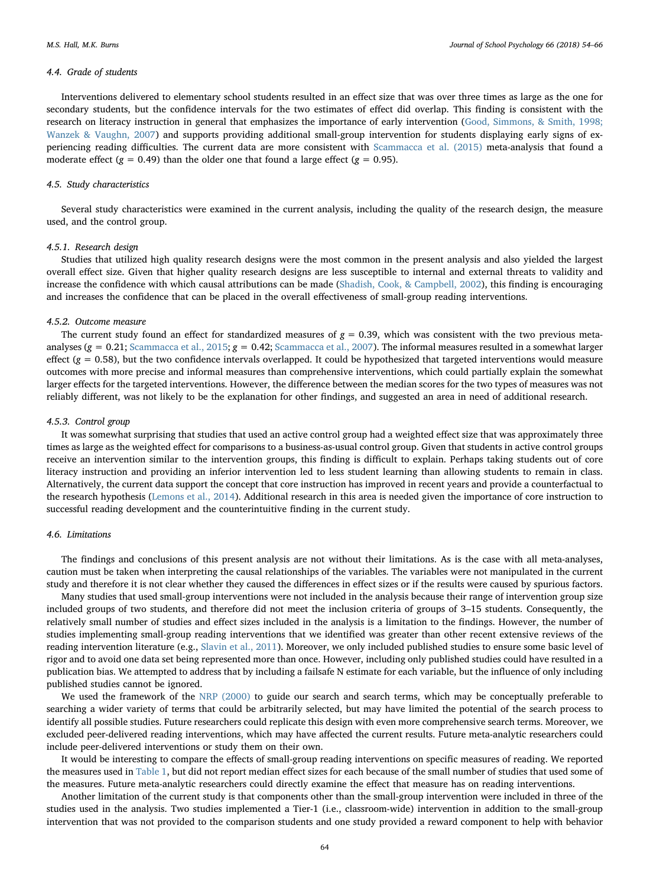## 4.4. Grade of students

Interventions delivered to elementary school students resulted in an effect size that was over three times as large as the one for secondary students, but the confidence intervals for the two estimates of effect did overlap. This finding is consistent with the research on literacy instruction in general that emphasizes the importance of early intervention ([Good, Simmons, & Smith, 1998;](#page-11-27) [Wanzek & Vaughn, 2007](#page-11-27)) and supports providing additional small-group intervention for students displaying early signs of experiencing reading difficulties. The current data are more consistent with [Scammacca et al. \(2015\)](#page-12-2) meta-analysis that found a moderate effect ( $g = 0.49$ ) than the older one that found a large effect ( $g = 0.95$ ).

## 4.5. Study characteristics

Several study characteristics were examined in the current analysis, including the quality of the research design, the measure used, and the control group.

#### 4.5.1. Research design

Studies that utilized high quality research designs were the most common in the present analysis and also yielded the largest overall effect size. Given that higher quality research designs are less susceptible to internal and external threats to validity and increase the confidence with which causal attributions can be made ([Shadish, Cook, & Campbell, 2002](#page-12-36)), this finding is encouraging and increases the confidence that can be placed in the overall effectiveness of small-group reading interventions.

#### 4.5.2. Outcome measure

The current study found an effect for standardized measures of  $g = 0.39$ , which was consistent with the two previous metaanalyses ( $g = 0.21$ ; [Scammacca et al., 2015;](#page-12-2)  $g = 0.42$ ; [Scammacca et al., 2007\)](#page-12-1). The informal measures resulted in a somewhat larger effect  $(g = 0.58)$ , but the two confidence intervals overlapped. It could be hypothesized that targeted interventions would measure outcomes with more precise and informal measures than comprehensive interventions, which could partially explain the somewhat larger effects for the targeted interventions. However, the difference between the median scores for the two types of measures was not reliably different, was not likely to be the explanation for other findings, and suggested an area in need of additional research.

#### 4.5.3. Control group

It was somewhat surprising that studies that used an active control group had a weighted effect size that was approximately three times as large as the weighted effect for comparisons to a business-as-usual control group. Given that students in active control groups receive an intervention similar to the intervention groups, this finding is difficult to explain. Perhaps taking students out of core literacy instruction and providing an inferior intervention led to less student learning than allowing students to remain in class. Alternatively, the current data support the concept that core instruction has improved in recent years and provide a counterfactual to the research hypothesis [\(Lemons et al., 2014\)](#page-12-13). Additional research in this area is needed given the importance of core instruction to successful reading development and the counterintuitive finding in the current study.

## 4.6. Limitations

The findings and conclusions of this present analysis are not without their limitations. As is the case with all meta-analyses, caution must be taken when interpreting the causal relationships of the variables. The variables were not manipulated in the current study and therefore it is not clear whether they caused the differences in effect sizes or if the results were caused by spurious factors.

Many studies that used small-group interventions were not included in the analysis because their range of intervention group size included groups of two students, and therefore did not meet the inclusion criteria of groups of 3–15 students. Consequently, the relatively small number of studies and effect sizes included in the analysis is a limitation to the findings. However, the number of studies implementing small-group reading interventions that we identified was greater than other recent extensive reviews of the reading intervention literature (e.g., [Slavin et al., 2011](#page-12-12)). Moreover, we only included published studies to ensure some basic level of rigor and to avoid one data set being represented more than once. However, including only published studies could have resulted in a publication bias. We attempted to address that by including a failsafe N estimate for each variable, but the influence of only including published studies cannot be ignored.

We used the framework of the [NRP \(2000\)](#page-12-0) to guide our search and search terms, which may be conceptually preferable to searching a wider variety of terms that could be arbitrarily selected, but may have limited the potential of the search process to identify all possible studies. Future researchers could replicate this design with even more comprehensive search terms. Moreover, we excluded peer-delivered reading interventions, which may have affected the current results. Future meta-analytic researchers could include peer-delivered interventions or study them on their own.

It would be interesting to compare the effects of small-group reading interventions on specific measures of reading. We reported the measures used in [Table 1,](#page-6-0) but did not report median effect sizes for each because of the small number of studies that used some of the measures. Future meta-analytic researchers could directly examine the effect that measure has on reading interventions.

Another limitation of the current study is that components other than the small-group intervention were included in three of the studies used in the analysis. Two studies implemented a Tier-1 (i.e., classroom-wide) intervention in addition to the small-group intervention that was not provided to the comparison students and one study provided a reward component to help with behavior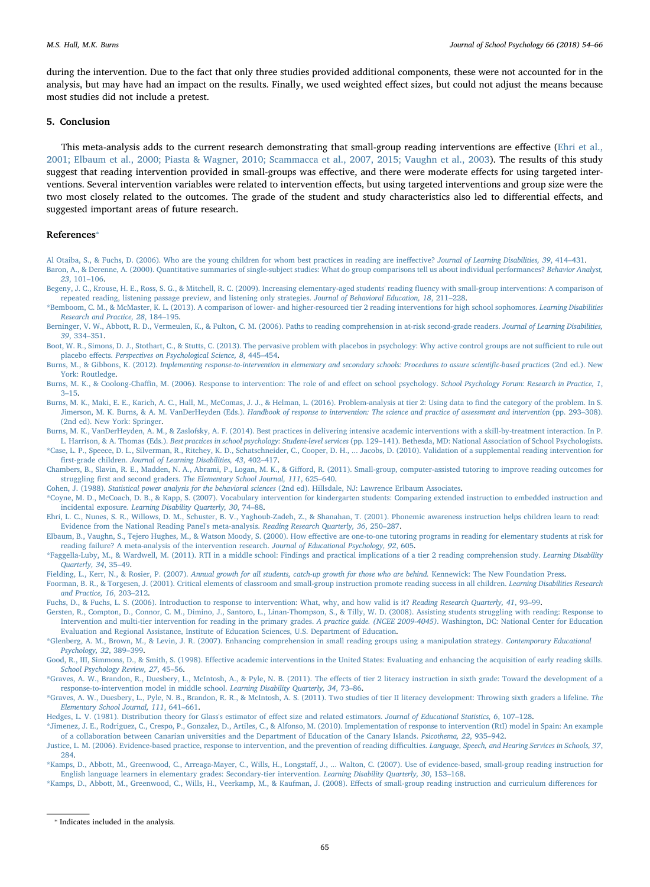during the intervention. Due to the fact that only three studies provided additional components, these were not accounted for in the analysis, but may have had an impact on the results. Finally, we used weighted effect sizes, but could not adjust the means because most studies did not include a pretest.

## 5. Conclusion

This meta-analysis adds to the current research demonstrating that small-group reading interventions are effective [\(Ehri et al.,](#page-11-6) [2001; Elbaum et al., 2000; Piasta & Wagner, 2010; Scammacca et al., 2007, 2015; Vaughn et al., 2003](#page-11-6)). The results of this study suggest that reading intervention provided in small-groups was effective, and there were moderate effects for using targeted interventions. Several intervention variables were related to intervention effects, but using targeted interventions and group size were the two most closely related to the outcomes. The grade of the student and study characteristics also led to differential effects, and suggested important areas of future research.

#### References[⁎](#page-11-28)

- <span id="page-11-13"></span><span id="page-11-0"></span>[Al Otaiba, S., & Fuchs, D. \(2006\). Who are the young children for whom best practices in reading are ine](http://refhub.elsevier.com/S0022-4405(17)30123-1/rf0005)ffective? Journal of Learning Disabilities, 39, 414–431. [Baron, A., & Derenne, A. \(2000\). Quantitative summaries of single-subject studies: What do group comparisons tell us about individual performances?](http://refhub.elsevier.com/S0022-4405(17)30123-1/rf0010) Behavior Analyst, 23[, 101](http://refhub.elsevier.com/S0022-4405(17)30123-1/rf0010)–106.
- <span id="page-11-8"></span>[Begeny, J. C., Krouse, H. E., Ross, S. G., & Mitchell, R. C. \(2009\). Increasing elementary-aged students' reading](http://refhub.elsevier.com/S0022-4405(17)30123-1/rf0015) fluency with small-group interventions: A comparison of [repeated reading, listening passage preview, and listening only strategies.](http://refhub.elsevier.com/S0022-4405(17)30123-1/rf0015) Journal of Behavioral Education, 18, 211–228.
- <span id="page-11-5"></span>[\\*Bemboom, C. M., & McMaster, K. L. \(2013\). A comparison of lower- and higher-resourced tier 2 reading interventions for high school sophomores.](http://refhub.elsevier.com/S0022-4405(17)30123-1/rf0025) Learning Disabilities [Research and Practice, 28](http://refhub.elsevier.com/S0022-4405(17)30123-1/rf0025), 184–195.
- <span id="page-11-10"></span>[Berninger, V. W., Abbott, R. D., Vermeulen, K., & Fulton, C. M. \(2006\). Paths to reading comprehension in at-risk second-grade readers.](http://refhub.elsevier.com/S0022-4405(17)30123-1/rf0030) Journal of Learning Disabilities, 39[, 334](http://refhub.elsevier.com/S0022-4405(17)30123-1/rf0030)–351.
- <span id="page-11-15"></span>[Boot, W. R., Simons, D. J., Stothart, C., & Stutts, C. \(2013\). The pervasive problem with placebos in psychology: Why active control groups are not su](http://refhub.elsevier.com/S0022-4405(17)30123-1/rf0035)fficient to rule out placebo effects. [Perspectives on Psychological Science, 8](http://refhub.elsevier.com/S0022-4405(17)30123-1/rf0035), 445–454.
- Burns, M., & Gibbons, K. (2012). [Implementing response-to-intervention in elementary and secondary schools: Procedures to assure scienti](http://refhub.elsevier.com/S0022-4405(17)30123-1/rf0040)fic-based practices (2nd ed.). New [York: Routledge.](http://refhub.elsevier.com/S0022-4405(17)30123-1/rf0040)
- <span id="page-11-9"></span>Burns, M. K., & Coolong-Chaffi[n, M. \(2006\). Response to intervention: The role of and e](http://refhub.elsevier.com/S0022-4405(17)30123-1/rf0045)ffect on school psychology. School Psychology Forum: Research in Practice, 1, 3–[15.](http://refhub.elsevier.com/S0022-4405(17)30123-1/rf0045)
- <span id="page-11-11"></span>[Burns, M. K., Maki, E. E., Karich, A. C., Hall, M., McComas, J. J., & Helman, L. \(2016\). Problem-analysis at tier 2: Using data to](http://refhub.elsevier.com/S0022-4405(17)30123-1/rf0050) find the category of the problem. In S. Jimerson, M. K. Burns, & A. M. VanDerHeyden (Eds.). [Handbook of response to intervention: The science and practice of assessment and intervention](http://refhub.elsevier.com/S0022-4405(17)30123-1/rf0050) (pp. 293-308). [\(2nd ed\). New York: Springer](http://refhub.elsevier.com/S0022-4405(17)30123-1/rf0050).
- <span id="page-11-12"></span>[Burns, M. K., VanDerHeyden, A. M., & Zaslofsky, A. F. \(2014\). Best practices in delivering intensive academic interventions with a skill-by-treatment interaction. In P.](http://refhub.elsevier.com/S0022-4405(17)30123-1/rf0055) L. Harrison, & A. Thomas (Eds.). Best practices in school psychology: Student-level services (pp. 129–[141\). Bethesda, MD: National Association of School Psychologists](http://refhub.elsevier.com/S0022-4405(17)30123-1/rf0055).
- <span id="page-11-18"></span>[\\*Case, L. P., Speece, D. L., Silverman, R., Ritchey, K. D., Schatschneider, C., Cooper, D. H., ... Jacobs, D. \(2010\). Validation of a supplemental reading intervention for](http://refhub.elsevier.com/S0022-4405(17)30123-1/rf0060) first-grade children. [Journal of Learning Disabilities, 43](http://refhub.elsevier.com/S0022-4405(17)30123-1/rf0060), 402–417.
- Chambers, B., Slavin, R. E., Madden, N. A., Abrami, P., Logan, M. K., & Giff[ord, R. \(2011\). Small-group, computer-assisted tutoring to improve reading outcomes for](http://refhub.elsevier.com/S0022-4405(17)30123-1/rf0065) struggling first and second graders. [The Elementary School Journal, 111](http://refhub.elsevier.com/S0022-4405(17)30123-1/rf0065), 625–640.
- <span id="page-11-17"></span>Cohen, J. (1988). Statistical power analysis for the behavioral sciences [\(2nd ed\). Hillsdale, NJ: Lawrence Erlbaum Associates.](http://refhub.elsevier.com/S0022-4405(17)30123-1/rf0070)
- <span id="page-11-14"></span>[\\*Coyne, M. D., McCoach, D. B., & Kapp, S. \(2007\). Vocabulary intervention for kindergarten students: Comparing extended instruction to embedded instruction and](http://refhub.elsevier.com/S0022-4405(17)30123-1/rf0075) incidental exposure. [Learning Disability Quarterly, 30](http://refhub.elsevier.com/S0022-4405(17)30123-1/rf0075), 74–88.
- <span id="page-11-6"></span>[Ehri, L. C., Nunes, S. R., Willows, D. M., Schuster, B. V., Yaghoub-Zadeh, Z., & Shanahan, T. \(2001\). Phonemic awareness instruction helps children learn to read:](http://refhub.elsevier.com/S0022-4405(17)30123-1/rf0080) [Evidence from the National Reading Panel's meta-analysis.](http://refhub.elsevier.com/S0022-4405(17)30123-1/rf0080) Reading Research Quarterly, 36, 250–287.
- <span id="page-11-7"></span>Elbaum, B., Vaughn, S., Tejero Hughes, M., & Watson Moody, S. (2000). How eff[ective are one-to-one tutoring programs in reading for elementary students at risk for](http://refhub.elsevier.com/S0022-4405(17)30123-1/rf0085) [reading failure? A meta-analysis of the intervention research.](http://refhub.elsevier.com/S0022-4405(17)30123-1/rf0085) Journal of Educational Psychology, 92, 605.
- <span id="page-11-4"></span>[\\*Faggella-Luby, M., & Wardwell, M. \(2011\). RTI in a middle school: Findings and practical implications of a tier 2 reading comprehension study.](http://refhub.elsevier.com/S0022-4405(17)30123-1/rf0090) Learning Disability [Quarterly, 34](http://refhub.elsevier.com/S0022-4405(17)30123-1/rf0090), 35–49.
- <span id="page-11-26"></span>Fielding, L., Kerr, N., & Rosier, P. (2007). [Annual growth for all students, catch-up growth for those who are behind.](http://refhub.elsevier.com/S0022-4405(17)30123-1/rf0095) Kennewick: The New Foundation Press.
- <span id="page-11-2"></span>[Foorman, B. R., & Torgesen, J. \(2001\). Critical elements of classroom and small-group instruction promote reading success in all children.](http://refhub.elsevier.com/S0022-4405(17)30123-1/rf0100) Learning Disabilities Research [and Practice, 16](http://refhub.elsevier.com/S0022-4405(17)30123-1/rf0100), 203–212.
- <span id="page-11-24"></span>[Fuchs, D., & Fuchs, L. S. \(2006\). Introduction to response to intervention: What, why, and how valid is it?](http://refhub.elsevier.com/S0022-4405(17)30123-1/rf0105) Reading Research Quarterly, 41, 93–99.
- <span id="page-11-1"></span>[Gersten, R., Compton, D., Connor, C. M., Dimino, J., Santoro, L., Linan-Thompson, S., & Tilly, W. D. \(2008\). Assisting students struggling with reading: Response to](http://refhub.elsevier.com/S0022-4405(17)30123-1/rf1000) [Intervention and multi-tier intervention for reading in the primary grades.](http://refhub.elsevier.com/S0022-4405(17)30123-1/rf1000) A practice guide. (NCEE 2009-4045). Washington, DC: National Center for Education [Evaluation and Regional Assistance, Institute of Education Sciences, U.S. Department of Education.](http://refhub.elsevier.com/S0022-4405(17)30123-1/rf1000)
- <span id="page-11-19"></span>[\\*Glenberg, A. M., Brown, M., & Levin, J. R. \(2007\). Enhancing comprehension in small reading groups using a manipulation strategy.](http://refhub.elsevier.com/S0022-4405(17)30123-1/rf0110) Contemporary Educational [Psychology, 32](http://refhub.elsevier.com/S0022-4405(17)30123-1/rf0110), 389–399.
- <span id="page-11-27"></span>Good, R., III, Simmons, D., & Smith, S. (1998). Eff[ective academic interventions in the United States: Evaluating and enhancing the acquisition of early reading skills.](http://refhub.elsevier.com/S0022-4405(17)30123-1/rf0115) [School Psychology Review, 27](http://refhub.elsevier.com/S0022-4405(17)30123-1/rf0115), 45–56.
- <span id="page-11-20"></span>[\\*Graves, A. W., Brandon, R., Duesbery, L., McIntosh, A., & Pyle, N. B. \(2011\). The e](http://refhub.elsevier.com/S0022-4405(17)30123-1/rf0120)ffects of tier 2 literacy instruction in sixth grade: Toward the development of a [response-to-intervention model in middle school.](http://refhub.elsevier.com/S0022-4405(17)30123-1/rf0120) Learning Disability Quarterly, 34, 73–86.
- <span id="page-11-21"></span>[\\*Graves, A. W., Duesbery, L., Pyle, N. B., Brandon, R. R., & McIntosh, A. S. \(2011\). Two studies of tier II literacy development: Throwing sixth graders a lifeline.](http://refhub.elsevier.com/S0022-4405(17)30123-1/rf0125) The [Elementary School Journal, 111](http://refhub.elsevier.com/S0022-4405(17)30123-1/rf0125), 641–661.
- <span id="page-11-16"></span>[Hedges, L. V. \(1981\). Distribution theory for Glass's estimator of e](http://refhub.elsevier.com/S0022-4405(17)30123-1/rf0130)ffect size and related estimators. Journal of Educational Statistics, 6, 107–128.
- <span id="page-11-22"></span>\*Jimenez, [J. E., Rodriguez, C., Crespo, P., Gonzalez, D., Artiles, C., & Alfonso, M. \(2010\). Implementation of response to intervention \(RtI\) model in Spain: An example](http://refhub.elsevier.com/S0022-4405(17)30123-1/rf0140) [of a collaboration between Canarian universities and the Department of Education of the Canary Islands.](http://refhub.elsevier.com/S0022-4405(17)30123-1/rf0140) Psicothema, 22, 935–942.

- <span id="page-11-23"></span>\*Kamps, D., Abbott, M., Greenwood, C., Arreaga-Mayer, C., Wills, H., Longstaff[, J., ... Walton, C. \(2007\). Use of evidence-based, small-group reading instruction for](http://refhub.elsevier.com/S0022-4405(17)30123-1/rf0150) [English language learners in elementary grades: Secondary-tier intervention.](http://refhub.elsevier.com/S0022-4405(17)30123-1/rf0150) Learning Disability Quarterly, 30, 153–168.
- <span id="page-11-3"></span>[\\*Kamps, D., Abbott, M., Greenwood, C., Wills, H., Veerkamp, M., & Kaufman, J. \(2008\). E](http://refhub.elsevier.com/S0022-4405(17)30123-1/rf0155)ffects of small-group reading instruction and curriculum differences for

<span id="page-11-25"></span>[Justice, L. M. \(2006\). Evidence-based practice, response to intervention, and the prevention of reading di](http://refhub.elsevier.com/S0022-4405(17)30123-1/rf0145)fficulties. Language, Speech, and Hearing Services in Schools, 37, [284.](http://refhub.elsevier.com/S0022-4405(17)30123-1/rf0145)

<span id="page-11-28"></span><sup>⁎</sup> Indicates included in the analysis.